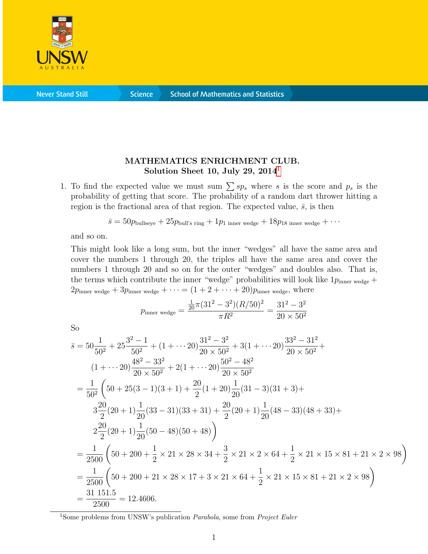

**Never Stand Still** 

**Science** 

## MATHEMATICS ENRICHMENT CLUB. Solution Sheet [1](#page-0-0)0, July 29,  $2014<sup>1</sup>$

1. To find the expected value we must sum  $\sum sp_s$  where s is the score and  $p_s$  is the probability of getting that score. The probability of a random dart thrower hitting a region is the fractional area of that region. The expected value,  $\bar{s}$ , is then

$$
\bar{s} = 50p_{\text{bullseye}} + 25p_{\text{bull's ring}} + 1p_{1 \text{ inner wedge}} + 18p_{18 \text{ inner wedge}} + \cdots
$$

and so on.

This might look like a long sum, but the inner "wedges" all have the same area and cover the numbers 1 through 20, the triples all have the same area and cover the numbers 1 through 20 and so on for the outer "wedges" and doubles also. That is, the terms which contribute the inner "wedge" probabilities will look like  $1p_{\text{inner wedge}} +$  $2p_{\text{inner wedge}} + 3p_{\text{inner wedge}} + \cdots = (1 + 2 + \cdots + 20)p_{\text{inner wedge}}$ , where

$$
p_{\text{inner wedge}} = \frac{\frac{1}{20}\pi (31^2 - 3^2)(R/50)^2}{\pi R^2} = \frac{31^2 - 3^2}{20 \times 50^2}
$$

So

$$
\bar{s} = 50\frac{1}{50^2} + 25\frac{3^2 - 1}{50^2} + (1 + \cdots 20)\frac{31^2 - 3^2}{20 \times 50^2} + 3(1 + \cdots 20)\frac{33^2 - 31^2}{20 \times 50^2} + (1 + \cdots 20)\frac{48^2 - 33^2}{20 \times 50^2} + 2(1 + \cdots 20)\frac{50^2 - 48^2}{20 \times 50^2}
$$
\n
$$
= \frac{1}{50^2} \left(50 + 25(3 - 1)(3 + 1) + \frac{20}{2}(1 + 20)\frac{1}{20}(31 - 3)(31 + 3) + 3\frac{20}{2}(20 + 1)\frac{1}{20}(33 - 31)(33 + 31) + \frac{20}{2}(20 + 1)\frac{1}{20}(48 - 33)(48 + 33) + 3\frac{20}{2}(20 + 1)\frac{1}{20}(50 - 48)(50 + 48)\right)
$$
\n
$$
= \frac{1}{2500} \left(50 + 200 + \frac{1}{2} \times 21 \times 28 \times 34 + \frac{3}{2} \times 21 \times 2 \times 64 + \frac{1}{2} \times 21 \times 15 \times 81 + 21 \times 2 \times 98\right)
$$
\n
$$
= \frac{1}{2500} \left(50 + 200 + 21 \times 28 \times 17 + 3 \times 21 \times 64 + \frac{1}{2} \times 21 \times 15 \times 81 + 21 \times 2 \times 98\right)
$$
\n
$$
= \frac{31}{2500} = 12.4606.
$$

<span id="page-0-0"></span><sup>1</sup>Some problems from UNSW's publication *Parabola*, some from *Project Euler*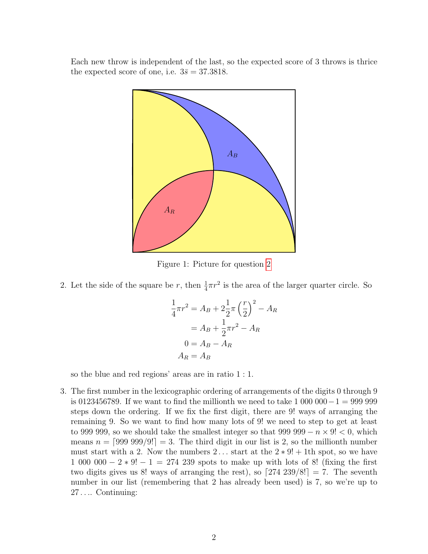<span id="page-1-0"></span>Each new throw is independent of the last, so the expected score of 3 throws is thrice the expected score of one, i.e.  $3\bar{s} = 37.3818$ .



Figure 1: Picture for question [2](#page-1-0)

2. Let the side of the square be r, then  $\frac{1}{4}\pi r^2$  is the area of the larger quarter circle. So

$$
\frac{1}{4}\pi r^2 = A_B + 2\frac{1}{2}\pi \left(\frac{r}{2}\right)^2 - A_R
$$

$$
= A_B + \frac{1}{2}\pi r^2 - A_R
$$

$$
0 = A_B - A_R
$$

$$
A_R = A_B
$$

so the blue and red regions' areas are in ratio 1 : 1.

3. The first number in the lexicographic ordering of arrangements of the digits 0 through 9 is 0123456789. If we want to find the millionth we need to take 1 000 000−1 = 999 999 steps down the ordering. If we fix the first digit, there are 9! ways of arranging the remaining 9. So we want to find how many lots of 9! we need to step to get at least to 999 999, so we should take the smallest integer so that 999 999  $-n \times 9!$  < 0, which means  $n = \lfloor 99999999 \rfloor = 3$ . The third digit in our list is 2, so the millionth number must start with a 2. Now the numbers 2... start at the  $2 \times 9! + 1$ th spot, so we have 1 000 000 − 2  $*$  9! − 1 = 274 239 spots to make up with lots of 8! (fixing the first two digits gives us 8! ways of arranging the rest), so  $\left[274\ 239/8!\right] = 7$ . The seventh number in our list (remembering that 2 has already been used) is 7, so we're up to 27 . . .. Continuing: